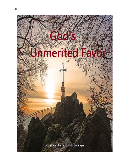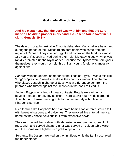#### **God made all he did to prosper**

# **And his master saw that the Lord was with him and that the Lord made all he did to prosper in his hand. So Joseph found favor in his sight, [Genesis 39:3–4](https://biblia.com/bible/esv/Gen%2039.3%E2%80%934)**

The date of Joseph's arrival in Egypt is debatable. Many believe he arrived during the period of the Hyksos rulers, foreigners who came from the region of Canaan. They invaded Egypt and controlled the land for almost 150 years. If Joseph arrived during their rule, it is easy to see why he was rapidly promoted up the royal ladder. Because the Hyksos were foreigners themselves, they would not hold this brilliant young foreigner's ancestry against him.

*Pharaoh* was the general name for all the kings of Egypt. It was a title like "king" or "president" used to address the country's leader. The pharaoh who placed Joseph in charge of Egypt was a different person from the pharaoh who turned against the Hebrews in the book of Exodus.

Ancient Egypt was a land of great contrasts. People were either rich beyond measure or poverty stricken. There wasn't much middle ground. Joseph found himself serving Potiphar, an extremely rich officer in Pharaoh's service.

Rich families like Potiphar's had elaborate homes two or three stories tall with beautiful gardens and balconies. They enjoyed live entertainment at home as they chose delicious fruit from expensive bowls.

They surrounded themselves with alabaster vases, paintings, beautiful rugs, and hand-carved chairs. Dinner was served on golden table-ware, and the rooms were lighted with gold lampstands.

Servants, like Joseph, worked on the first floor, while the family occupied the upper stories.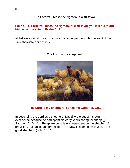# **The Lord will bless the righteous with favor.**

# **For You, O Lord, will bless the righteous; with favor you will surround him as with a shield. [Psalm 5:12](https://biblia.com/bible/esv/Ps%205.12)**

All believers should strive to be more tolerant of people but less tolerant of the sin in themselves and others.



# **The Lord is my shepherd.**

# **The Lord is my shepherd; I shall not want. Ps. 23:1**

In describing the Lord as a shepherd, David wrote out of his own experience because he had spent his early years caring for sheep [\(1](http://www.crossbooks.com/verse.asp?ref=1Sa+16%3A10-11)  [Samuel 16:10, 11\)](http://www.crossbooks.com/verse.asp?ref=1Sa+16%3A10-11). Sheep are completely dependent on the shepherd for provision, guidance, and protection. The New Testament calls Jesus the good shepherd [\(John 10:11\)](http://www.crossbooks.com/verse.asp?ref=Jn+10%3A11),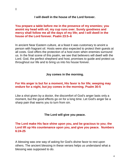#### **I will dwell in the house of the Lord forever.**

### **You prepare a table before me in the presence of my enemies; you anoint my head with oil; my cup runs over. Surely goodness and mercy shall follow me all the days of my life; and I will dwell in the house of the Lord forever. [Psalm 23:5–6](https://biblia.com/bible/esv/Ps%2023.5%E2%80%936)**

In ancient Near Eastern culture, at a feast it was customary to anoint a person with fragrant oil. Hosts were also expected to protect their guests at all costs. God offers the protection of a host even when enemies surround us. In the final scene of this psalm, we see that believers will dwell with the Lord. God, the perfect shepherd and host, promises to guide and protect us throughout our life and to bring us into his house forever.

#### **Joy comes in the morning.**

# **For His anger is but for a moment, His favor is for life; weeping may endure for a night, but joy comes in the morning. [Psalm 30:5](https://biblia.com/bible/esv/Ps%2030.5)**

Like a shot given by a doctor, the discomfort of God's anger lasts only a moment, but the good effects go on for a long time. Let God's anger be a sharp pain that warns you to turn from sin.

### **The Lord will give you peace.**

# **The Lord make His face shine upon you, and be gracious to you; the Lord lift up His countenance upon you, and give you peace. Numbers 6:24-25**

A blessing was one way of asking for God's divine favor to rest upon others. The ancient blessing in these verses helps us understand what a blessing was supposed to do.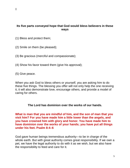# **Its five parts conveyed hope that God would bless believers in these ways**

(1) Bless and protect them;

(2) Smile on them (be pleased);

(3) Be gracious (merciful and compassionate);

(4) Show his favor toward them (give his approval);

(5) Give peace.

When you ask God to bless others or yourself, you are asking him to do these five things. The blessing you offer will not only help the one receiving it, it will also demonstrate love, encourage others, and provide a model of caring for others.

# **The Lord has dominion over the works of our hands.**

**What is man that you are mindful of him, and the son of man that you visit him? For you have made him a little lower than the angels, and you have crowned him with glory and honor. You have made him to have dominion over the works of your hands; you have put all things under his feet. [Psalm 8:4–6](https://biblia.com/bible/esv/Ps%208.4%E2%80%936)**

God gave human beings tremendous authority—to be in charge of the whole earth. But with great authority comes great responsibility. If we own a pet, we have the legal authority to do with it as we wish, but we also have the responsibility to feed and care for it.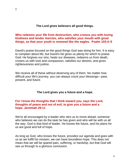# **The Lord gives believers all good things.**

# **Who redeems your life from destruction, who crowns you with loving kindness and tender mercies, who satisfies your mouth with good things, so that your youth is renewed like the eagles. [Psalm 103:4–5](https://biblia.com/bible/esv/Ps%20103.4%E2%80%935)**

David's praise focused on the good things God was doing for him. It is easy to complain about life, but David's list gives us plenty for which to praise God: He forgives our sins, heals our diseases, redeems us from death, crowns us with love and compassion, satisfies our desires, and gives righteousness and justice.

We receive all of these without deserving any of them. No matter how difficult your life's journey, you can always count your blessings—past, present, and future.

# **The Lord gives you a future and a hope.**

# **For I know the thoughts that I think toward you, says the Lord, thoughts of peace and not of evil, to give you a future and a hope. [Jeremiah 29:11](https://biblia.com/bible/esv/Jer%2029.11)**

We're all encouraged by a leader who stirs us to move ahead, someone who believes we can do the task he has given and who will be with us all the way. God is that kind of leader. He knows the future, and his plans for us are good and full of hope.

As long as God, who knows the future, provides our agenda and goes with us as we fulfill his mission, we can have boundless hope. This does not mean that we will be spared pain, suffering, or hardship, but that God will see us through to a glorious conclusion.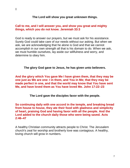### **The Lord will show you great unknown things.**

### **Call to me, and I will answer you, and show you great and mighty things, which you do not know. [Jeremiah 33:3](https://biblia.com/bible/esv/Jer%2033.3)**

God is ready to answer our prayers, but we must ask for his assistance. Surely God could take care of our needs without our asking. But when we ask, we are acknowledging that he alone is God and that we cannot accomplish in our own strength all that is his domain to do. When we ask, we must humble ourselves, lay aside our willfulness and worry, and determine to obey him.

#### **The glory God gave to Jesus, he has given unto believers.**

**And the glory which You gave Me I have given them, that they may be one just as We are one: I in them, and You in Me; that they may be made perfect in one, and that the world may know that You have sent Me, and have loved them as You have loved Me. [John 17:22–23](https://biblia.com/bible/esv/John%2017.22%E2%80%9323)**

**The Lord gave the disciples favor with the people.**

### **So continuing daily with one accord in the temple, and breaking bread from house to house, they ate their food with gladness and simplicity of heart, praising God and having favor with all the people. And the Lord added to the church daily those who were being saved. [Acts](https://biblia.com/bible/esv/Acts%202.46%E2%80%9347)  [2:46–47](https://biblia.com/bible/esv/Acts%202.46%E2%80%9347)**

A healthy Christian community attracts people to Christ. The Jerusalem church's zeal for worship and brotherly love was contagious. A healthy, loving church will grow in numbers.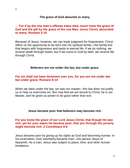#### **The grace of God abounds to many.**

### **… For if by the one man's offense many died, much more the grace of God and the gift by the grace of the one Man, Jesus Christ, abounded to many. [Romans 5:15](https://biblia.com/bible/esv/Rom%205.15)**

Because of Jesus, however, we can trade judgment for forgiveness. Christ offers us the opportunity to be born into his spiritual family—the family line that begins with forgiveness and leads to eternal life. If we do nothing, we receive death through Adam; but if we come to God by faith, we receive life through Christ.

#### **Believers are not under the law, but under grace.**

# **For sin shall not have dominion over you, for you are not under law but under grace. [Romans 6:14](https://biblia.com/bible/esv/Rom%206.14)**

When we were under the law, sin was our master—the law does not justify us or help us overcome sin. But now that we are bound to Christ, he is our Master, and he gives us power to do good rather than evil.

#### **Jesus became poor that believers may become rich.**

#### **For you know the grace of our Lord Jesus Christ, that though He was rich, yet for your sakes He became poor, that you through His poverty might become rich. [2 Corinthians 8:9](https://biblia.com/bible/esv/2%20Cor%208.9)**

Jesus became poor by giving up his rights as God and becoming human. In his incarnation, God voluntarily became man—the person Jesus of Nazareth. As a man, Jesus was subject to place, time, and other human limitations.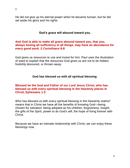He did not give up his eternal power when he became human, but he did set aside his glory and his rights

# **God's grace will abound toward you.**

# **And God is able to make all grace abound toward you, that you, always having all sufficiency in all things, may have an abundance for every good work. [2 Corinthians 9:8](https://biblia.com/bible/esv/2%20Cor%209.8)**

God gives us resources to use and invest for him. Paul uses the illustration of seed to explain that the resources God gives us are not to be hidden, foolishly devoured, or thrown away.

# **God has blessed us with all spiritual blessing.**

# **Blessed be the God and Father of our Lord Jesus Christ, who has blessed us with every spiritual blessing in the heavenly places in Christ, [Ephesians 1:3](https://biblia.com/bible/esv/Eph%201.3)**

Who has blessed us with every spiritual blessing in the heavenly realms" means that in Christ we have all the benefits of knowing God—being chosen for salvation, being adopted as his children, forgiveness, insight, the gifts of the Spirit, power to do God's will, the hope of living forever with **Christ** 

Because we have an intimate relationship with Christ, we can enjoy these blessings now.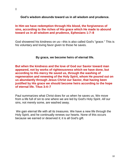**God's wisdom abounds toward us in all wisdom and prudence.** 

# **In Him we have redemption through His blood, the forgiveness of sins, according to the riches of His grace which He made to abound toward us in all wisdom and prudence, [Ephesians 1:7–8](https://biblia.com/bible/esv/Eph%201.7%E2%80%938)**

God showered his kindness on us—this is also called God's "grace." This is his voluntary and loving favor given to those he saves.

# **By grace, we become heirs of eternal life.**

**But when the kindness and the love of God our Savior toward man appeared, not by works of righteousness which we have done, but according to His mercy He saved us, through the washing of regeneration and renewing of the Holy Spirit, whom He poured out on us abundantly through Jesus Christ our Savior, that having been justified by His grace we should become heirs according to the hope of eternal life. [Titus 3:4–7](https://biblia.com/bible/esv/Titus%203.4%E2%80%937)**

Paul summarizes what Christ does for us when he saves us. We move from a life full of sin to one where we are led by God's Holy Spirit. *All* our sins, not merely some, are washed away.

We gain eternal life with all its treasures. We have a new life through the Holy Spirit, and he continually renews our hearts. None of this occurs because we earned or deserved it; it is all God's gift.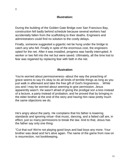$[$ 

# **Illustration:**

During the building of the Golden Gate Bridge over San Francisco Bay, construction fell badly behind schedule because several workers had accidentally fallen from the scaffolding to their deaths. Engineers and administrators could find no solution to the costly delays.

Finally, someone suggested a gigantic net be hung under the bridge to catch any who fell. Finally in spite of the enormous cost, the engineers opted for the net. After it was installed, progress was hardly interrupted. A worker or two fell into the net but were saved. Ultimately, all the time lost to fear was regained by replacing fear with faith in the net.

# **Illustration**

You're worried about permissiveness--about the way the preaching of grace seems to say it's okay to do all kinds of terrible things as long as you just walk in afterward and take the free gift of God's forgiveness. . .While you and I may be worried about seeming to give permission, Jesus apparently wasn't. He wasn't afraid of giving the prodigal son a kiss instead of a lecture, a party instead of probation; and he proved that by bringing in the elder brother at the end of the story and having him raise pretty much the same objections we do.

He's angry about the party. He complains that his father is lowering standards and ignoring virtue--that music, dancing, and a fatted calf are, in effect, just so many permissions to break the law. And to that, Jesus has the father say only one thing:

"Cut that out! We're not playing good boys and bad boys any more. Your brother was dead and he's alive again. The name of the game from now on is resurrection, not bookkeeping.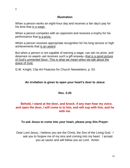# **Illustration**

When a person works an eight-hour day and receives a fair day's pay for his time that is a wage.

When a person competes with an opponent and receives a trophy for his performance that is a prize.

When a person receives appropriate recognition for his long service or high achievements that is an award.

But when a person is not capable of earning a wage, can win no prize, and deserves no award--yet receives such a gift anyway--that is a good picture of God's unmerited favor. This is what we mean when we talk about the grace of God.

G.W. Knight, Clip-Art Features for Church Newsletters, p. 53.

# **An invitation is given to open your heart's door to Jesus**

# **Rev. 3:20**

# **Behold, I stand at the door, and knock: if any man hear my voice, and open the door, I will come in to him, and will sup with him, and he with me.**

#### **To ask Jesus to come into your heart, please pray this Prayer**:

Dear Lord Jesus, I believe you are the Christ, the Son of the Living God. I ask you to forgive me of my sins and coming into my heart. I accept you as savior and will follow you as Lord. Amen.